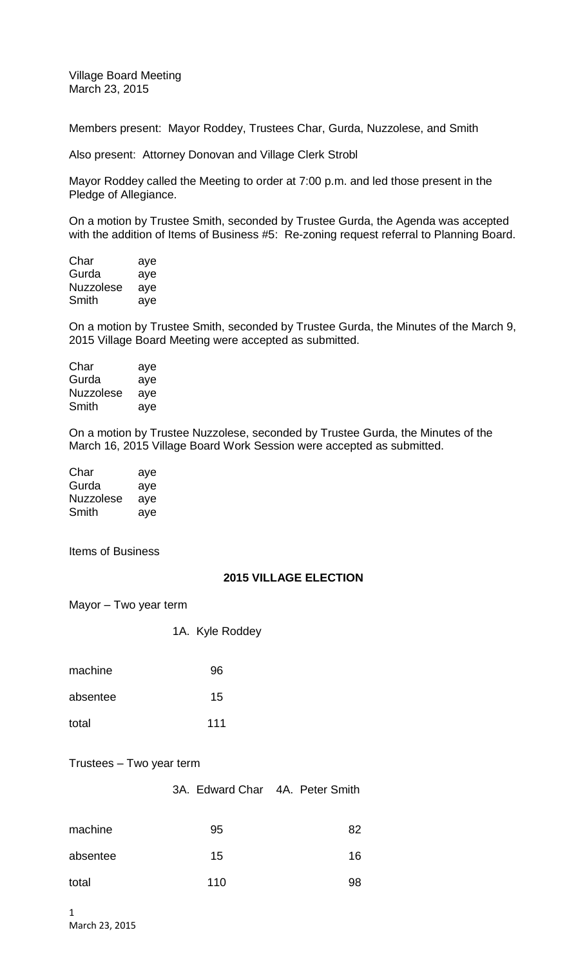Village Board Meeting March 23, 2015

Members present: Mayor Roddey, Trustees Char, Gurda, Nuzzolese, and Smith

Also present: Attorney Donovan and Village Clerk Strobl

Mayor Roddey called the Meeting to order at 7:00 p.m. and led those present in the Pledge of Allegiance.

On a motion by Trustee Smith, seconded by Trustee Gurda, the Agenda was accepted with the addition of Items of Business #5: Re-zoning request referral to Planning Board.

| Char             | aye |
|------------------|-----|
| Gurda            | aye |
| <b>Nuzzolese</b> | aye |
| Smith            | aye |

On a motion by Trustee Smith, seconded by Trustee Gurda, the Minutes of the March 9, 2015 Village Board Meeting were accepted as submitted.

| Char             | aye |
|------------------|-----|
| Gurda            | aye |
| <b>Nuzzolese</b> | aye |
| Smith            | aye |

On a motion by Trustee Nuzzolese, seconded by Trustee Gurda, the Minutes of the March 16, 2015 Village Board Work Session were accepted as submitted.

| Char      | aye |
|-----------|-----|
| Gurda     | aye |
| Nuzzolese | aye |
| Smith     | aye |

Items of Business

## **2015 VILLAGE ELECTION**

Mayor – Two year term

| 1A. | Kyle Roddey |
|-----|-------------|
|     |             |

| machine  | 96  |
|----------|-----|
| absentee | 15  |
| total    | 111 |

## Trustees – Two year term

3A. Edward Char 4A. Peter Smith

| machine  | 95  | 82 |
|----------|-----|----|
| absentee | 15  | 16 |
| total    | 110 | 98 |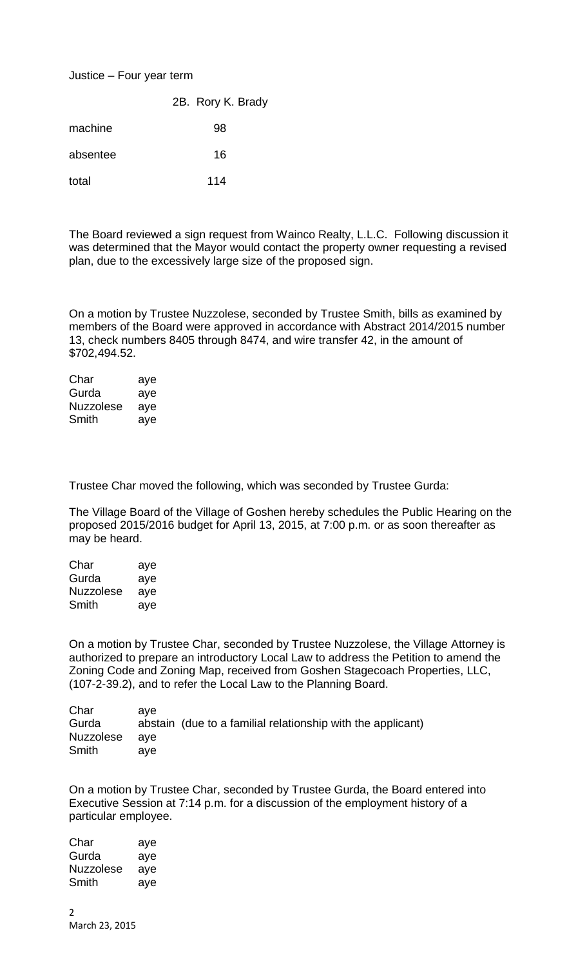## Justice – Four year term

|          | 2B. Rory K. Brady |
|----------|-------------------|
| machine  | 98                |
| absentee | 16                |
| total    | 114               |

The Board reviewed a sign request from Wainco Realty, L.L.C. Following discussion it was determined that the Mayor would contact the property owner requesting a revised plan, due to the excessively large size of the proposed sign.

On a motion by Trustee Nuzzolese, seconded by Trustee Smith, bills as examined by members of the Board were approved in accordance with Abstract 2014/2015 number 13, check numbers 8405 through 8474, and wire transfer 42, in the amount of \$702,494.52.

| Char             | aye |
|------------------|-----|
| Gurda            | aye |
| <b>Nuzzolese</b> | aye |
| Smith            | aye |

Trustee Char moved the following, which was seconded by Trustee Gurda:

The Village Board of the Village of Goshen hereby schedules the Public Hearing on the proposed 2015/2016 budget for April 13, 2015, at 7:00 p.m. or as soon thereafter as may be heard.

| Char             | aye |
|------------------|-----|
| Gurda            | aye |
| <b>Nuzzolese</b> | aye |
| Smith            | ave |

On a motion by Trustee Char, seconded by Trustee Nuzzolese, the Village Attorney is authorized to prepare an introductory Local Law to address the Petition to amend the Zoning Code and Zoning Map, received from Goshen Stagecoach Properties, LLC, (107-2-39.2), and to refer the Local Law to the Planning Board.

| ave           |                                                             |
|---------------|-------------------------------------------------------------|
|               | abstain (due to a familial relationship with the applicant) |
| Nuzzolese aye |                                                             |
| ave           |                                                             |
|               |                                                             |

On a motion by Trustee Char, seconded by Trustee Gurda, the Board entered into Executive Session at 7:14 p.m. for a discussion of the employment history of a particular employee.

| Char      | aye |
|-----------|-----|
| Gurda     | aye |
| Nuzzolese | aye |
| Smith     | ave |